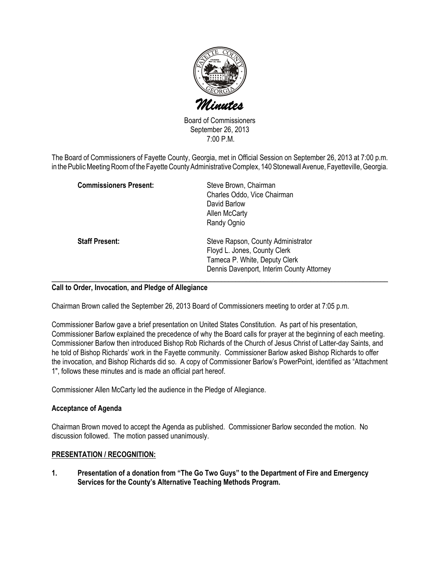

Board of Commissioners September 26, 2013 7:00 P.M.

The Board of Commissioners of Fayette County, Georgia, met in Official Session on September 26, 2013 at 7:00 p.m. in the Public Meeting Room of the Fayette County Administrative Complex, 140 Stonewall Avenue, Fayetteville, Georgia.

| <b>Commissioners Present:</b> | Steve Brown, Chairman<br>Charles Oddo, Vice Chairman<br>David Barlow<br>Allen McCarty<br>Randy Ognio                                             |
|-------------------------------|--------------------------------------------------------------------------------------------------------------------------------------------------|
| <b>Staff Present:</b>         | Steve Rapson, County Administrator<br>Floyd L. Jones, County Clerk<br>Tameca P. White, Deputy Clerk<br>Dennis Davenport, Interim County Attorney |

### Call to Order, Invocation, and Pledge of Allegiance

Chairman Brown called the September 26, 2013 Board of Commissioners meeting to order at 7:05 p.m.

Commissioner Barlow gave a brief presentation on United States Constitution. As part of his presentation, Commissioner Barlow explained the precedence of why the Board calls for prayer at the beginning of each meeting. Commissioner Barlow then introduced Bishop Rob Richards of the Church of Jesus Christ of Latter-day Saints, and he told of Bishop Richards' work in the Fayette community. Commissioner Barlow asked Bishop Richards to offer the invocation, and Bishop Richards did so. A copy of Commissioner Barlow's PowerPoint, identified as "Attachment 1", follows these minutes and is made an official part hereof.

Commissioner Allen McCarty led the audience in the Pledge of Allegiance.

### Acceptance of Agenda

Chairman Brown moved to accept the Agenda as published. Commissioner Barlow seconded the motion. No discussion followed. The motion passed unanimously.

### PRESENTATION / RECOGNITION:

1. Presentation of a donation from "The Go Two Guys" to the Department of Fire and Emergency Services for the County's Alternative Teaching Methods Program.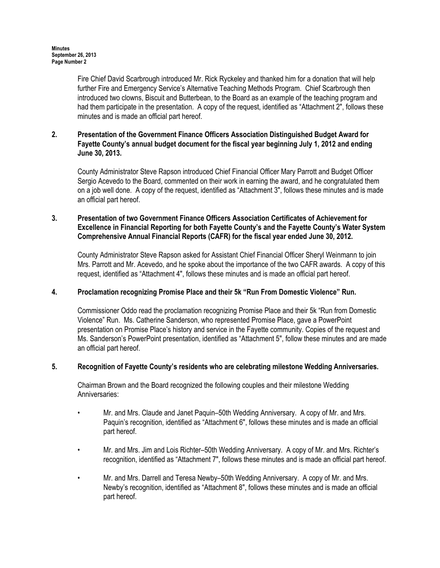Fire Chief David Scarbrough introduced Mr. Rick Ryckeley and thanked him for a donation that will help further Fire and Emergency Service's Alternative Teaching Methods Program. Chief Scarbrough then introduced two clowns, Biscuit and Butterbean, to the Board as an example of the teaching program and had them participate in the presentation. A copy of the request, identified as "Attachment 2", follows these minutes and is made an official part hereof.

# 2. Presentation of the Government Finance Officers Association Distinguished Budget Award for Fayette County's annual budget document for the fiscal year beginning July 1, 2012 and ending June 30, 2013.

County Administrator Steve Rapson introduced Chief Financial Officer Mary Parrott and Budget Officer Sergio Acevedo to the Board, commented on their work in earning the award, and he congratulated them on a job well done. A copy of the request, identified as "Attachment 3", follows these minutes and is made an official part hereof.

# 3. Presentation of two Government Finance Officers Association Certificates of Achievement for Excellence in Financial Reporting for both Fayette County's and the Fayette County's Water System Comprehensive Annual Financial Reports (CAFR) for the fiscal year ended June 30, 2012.

County Administrator Steve Rapson asked for Assistant Chief Financial Officer Sheryl Weinmann to join Mrs. Parrott and Mr. Acevedo, and he spoke about the importance of the two CAFR awards. A copy of this request, identified as "Attachment 4", follows these minutes and is made an official part hereof.

# 4. Proclamation recognizing Promise Place and their 5k "Run From Domestic Violence" Run.

Commissioner Oddo read the proclamation recognizing Promise Place and their 5k "Run from Domestic Violence" Run. Ms. Catherine Sanderson, who represented Promise Place, gave a PowerPoint presentation on Promise Place's history and service in the Fayette community. Copies of the request and Ms. Sanderson's PowerPoint presentation, identified as "Attachment 5", follow these minutes and are made an official part hereof.

# 5. Recognition of Fayette County's residents who are celebrating milestone Wedding Anniversaries.

Chairman Brown and the Board recognized the following couples and their milestone Wedding Anniversaries:

- Mr. and Mrs. Claude and Janet Paquin–50th Wedding Anniversary. A copy of Mr. and Mrs. Paquin's recognition, identified as "Attachment 6", follows these minutes and is made an official part hereof.
- Mr. and Mrs. Jim and Lois Richter–50th Wedding Anniversary. A copy of Mr. and Mrs. Richter's recognition, identified as "Attachment 7", follows these minutes and is made an official part hereof.
- Mr. and Mrs. Darrell and Teresa Newby–50th Wedding Anniversary. A copy of Mr. and Mrs. Newby's recognition, identified as "Attachment 8", follows these minutes and is made an official part hereof.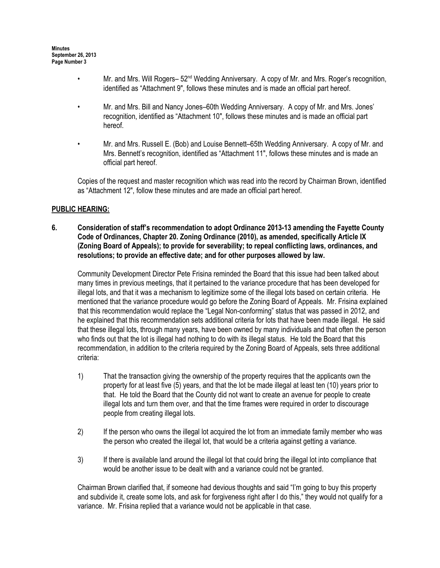- Mr. and Mrs. Will Rogers– 52<sup>nd</sup> Wedding Anniversary. A copy of Mr. and Mrs. Roger's recognition, identified as "Attachment 9", follows these minutes and is made an official part hereof.
- Mr. and Mrs. Bill and Nancy Jones–60th Wedding Anniversary. A copy of Mr. and Mrs. Jones' recognition, identified as "Attachment 10", follows these minutes and is made an official part hereof.
- Mr. and Mrs. Russell E. (Bob) and Louise Bennett–65th Wedding Anniversary. A copy of Mr. and Mrs. Bennett's recognition, identified as "Attachment 11", follows these minutes and is made an official part hereof.

Copies of the request and master recognition which was read into the record by Chairman Brown, identified as "Attachment 12", follow these minutes and are made an official part hereof.

### PUBLIC HEARING:

6. Consideration of staff's recommendation to adopt Ordinance 2013-13 amending the Fayette County Code of Ordinances, Chapter 20. Zoning Ordinance (2010), as amended, specifically Article IX (Zoning Board of Appeals); to provide for severability; to repeal conflicting laws, ordinances, and resolutions; to provide an effective date; and for other purposes allowed by law.

Community Development Director Pete Frisina reminded the Board that this issue had been talked about many times in previous meetings, that it pertained to the variance procedure that has been developed for illegal lots, and that it was a mechanism to legitimize some of the illegal lots based on certain criteria. He mentioned that the variance procedure would go before the Zoning Board of Appeals. Mr. Frisina explained that this recommendation would replace the "Legal Non-conforming" status that was passed in 2012, and he explained that this recommendation sets additional criteria for lots that have been made illegal. He said that these illegal lots, through many years, have been owned by many individuals and that often the person who finds out that the lot is illegal had nothing to do with its illegal status. He told the Board that this recommendation, in addition to the criteria required by the Zoning Board of Appeals, sets three additional criteria:

- 1) That the transaction giving the ownership of the property requires that the applicants own the property for at least five (5) years, and that the lot be made illegal at least ten (10) years prior to that. He told the Board that the County did not want to create an avenue for people to create illegal lots and turn them over, and that the time frames were required in order to discourage people from creating illegal lots.
- 2) If the person who owns the illegal lot acquired the lot from an immediate family member who was the person who created the illegal lot, that would be a criteria against getting a variance.
- 3) If there is available land around the illegal lot that could bring the illegal lot into compliance that would be another issue to be dealt with and a variance could not be granted.

Chairman Brown clarified that, if someone had devious thoughts and said "I'm going to buy this property and subdivide it, create some lots, and ask for forgiveness right after I do this," they would not qualify for a variance. Mr. Frisina replied that a variance would not be applicable in that case.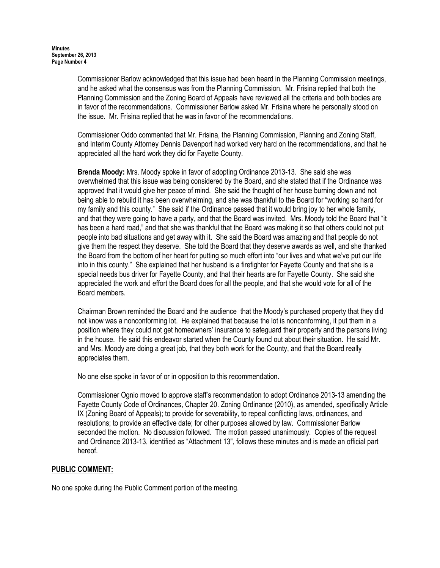Commissioner Barlow acknowledged that this issue had been heard in the Planning Commission meetings, and he asked what the consensus was from the Planning Commission. Mr. Frisina replied that both the Planning Commission and the Zoning Board of Appeals have reviewed all the criteria and both bodies are in favor of the recommendations. Commissioner Barlow asked Mr. Frisina where he personally stood on the issue. Mr. Frisina replied that he was in favor of the recommendations.

Commissioner Oddo commented that Mr. Frisina, the Planning Commission, Planning and Zoning Staff, and Interim County Attorney Dennis Davenport had worked very hard on the recommendations, and that he appreciated all the hard work they did for Fayette County.

Brenda Moody: Mrs. Moody spoke in favor of adopting Ordinance 2013-13. She said she was overwhelmed that this issue was being considered by the Board, and she stated that if the Ordinance was approved that it would give her peace of mind. She said the thought of her house burning down and not being able to rebuild it has been overwhelming, and she was thankful to the Board for "working so hard for my family and this county." She said if the Ordinance passed that it would bring joy to her whole family, and that they were going to have a party, and that the Board was invited. Mrs. Moody told the Board that "it has been a hard road," and that she was thankful that the Board was making it so that others could not put people into bad situations and get away with it. She said the Board was amazing and that people do not give them the respect they deserve. She told the Board that they deserve awards as well, and she thanked the Board from the bottom of her heart for putting so much effort into "our lives and what we've put our life into in this county." She explained that her husband is a firefighter for Fayette County and that she is a special needs bus driver for Fayette County, and that their hearts are for Fayette County. She said she appreciated the work and effort the Board does for all the people, and that she would vote for all of the Board members.

Chairman Brown reminded the Board and the audience that the Moody's purchased property that they did not know was a nonconforming lot. He explained that because the lot is nonconforming, it put them in a position where they could not get homeowners' insurance to safeguard their property and the persons living in the house. He said this endeavor started when the County found out about their situation. He said Mr. and Mrs. Moody are doing a great job, that they both work for the County, and that the Board really appreciates them.

No one else spoke in favor of or in opposition to this recommendation.

Commissioner Ognio moved to approve staff's recommendation to adopt Ordinance 2013-13 amending the Fayette County Code of Ordinances, Chapter 20. Zoning Ordinance (2010), as amended, specifically Article IX (Zoning Board of Appeals); to provide for severability, to repeal conflicting laws, ordinances, and resolutions; to provide an effective date; for other purposes allowed by law. Commissioner Barlow seconded the motion. No discussion followed. The motion passed unanimously. Copies of the request and Ordinance 2013-13, identified as "Attachment 13", follows these minutes and is made an official part hereof.

### PUBLIC COMMENT:

No one spoke during the Public Comment portion of the meeting.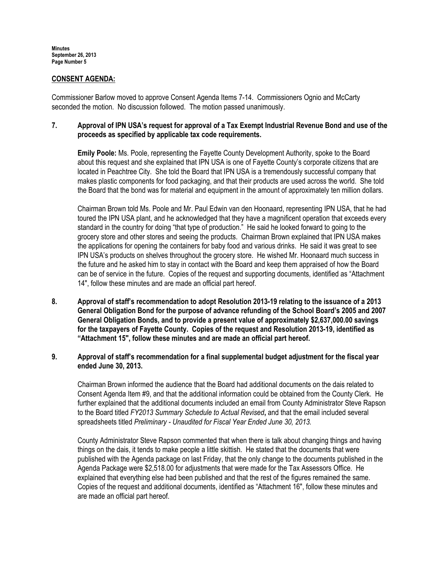### CONSENT AGENDA:

Commissioner Barlow moved to approve Consent Agenda Items 7-14. Commissioners Ognio and McCarty seconded the motion. No discussion followed. The motion passed unanimously.

## 7. Approval of IPN USA's request for approval of a Tax Exempt Industrial Revenue Bond and use of the proceeds as specified by applicable tax code requirements.

Emily Poole: Ms. Poole, representing the Fayette County Development Authority, spoke to the Board about this request and she explained that IPN USA is one of Fayette County's corporate citizens that are located in Peachtree City. She told the Board that IPN USA is a tremendously successful company that makes plastic components for food packaging, and that their products are used across the world. She told the Board that the bond was for material and equipment in the amount of approximately ten million dollars.

Chairman Brown told Ms. Poole and Mr. Paul Edwin van den Hoonaard, representing IPN USA, that he had toured the IPN USA plant, and he acknowledged that they have a magnificent operation that exceeds every standard in the country for doing "that type of production." He said he looked forward to going to the grocery store and other stores and seeing the products. Chairman Brown explained that IPN USA makes the applications for opening the containers for baby food and various drinks. He said it was great to see IPN USA's products on shelves throughout the grocery store. He wished Mr. Hoonaard much success in the future and he asked him to stay in contact with the Board and keep them appraised of how the Board can be of service in the future. Copies of the request and supporting documents, identified as "Attachment 14", follow these minutes and are made an official part hereof.

8. Approval of staff's recommendation to adopt Resolution 2013-19 relating to the issuance of a 2013 General Obligation Bond for the purpose of advance refunding of the School Board's 2005 and 2007 General Obligation Bonds, and to provide a present value of approximately \$2,637,000.00 savings for the taxpayers of Fayette County. Copies of the request and Resolution 2013-19, identified as "Attachment 15", follow these minutes and are made an official part hereof.

# 9. Approval of staff's recommendation for a final supplemental budget adjustment for the fiscal year ended June 30, 2013.

Chairman Brown informed the audience that the Board had additional documents on the dais related to Consent Agenda Item #9, and that the additional information could be obtained from the County Clerk. He further explained that the additional documents included an email from County Administrator Steve Rapson to the Board titled FY2013 Summary Schedule to Actual Revised, and that the email included several spreadsheets titled Preliminary - Unaudited for Fiscal Year Ended June 30, 2013.

County Administrator Steve Rapson commented that when there is talk about changing things and having things on the dais, it tends to make people a little skittish. He stated that the documents that were published with the Agenda package on last Friday, that the only change to the documents published in the Agenda Package were \$2,518.00 for adjustments that were made for the Tax Assessors Office. He explained that everything else had been published and that the rest of the figures remained the same. Copies of the request and additional documents, identified as "Attachment 16", follow these minutes and are made an official part hereof.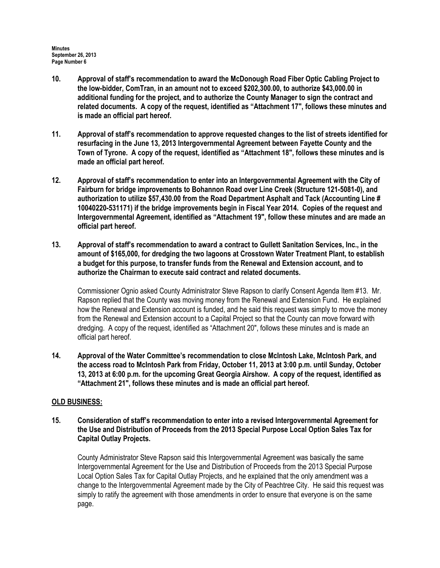- 10. Approval of staff's recommendation to award the McDonough Road Fiber Optic Cabling Project to the low-bidder, ComTran, in an amount not to exceed \$202,300.00, to authorize \$43,000.00 in additional funding for the project, and to authorize the County Manager to sign the contract and related documents. A copy of the request, identified as "Attachment 17", follows these minutes and is made an official part hereof.
- 11. Approval of staff's recommendation to approve requested changes to the list of streets identified for resurfacing in the June 13, 2013 Intergovernmental Agreement between Fayette County and the Town of Tyrone. A copy of the request, identified as "Attachment 18", follows these minutes and is made an official part hereof.
- 12. Approval of staff's recommendation to enter into an Intergovernmental Agreement with the City of Fairburn for bridge improvements to Bohannon Road over Line Creek (Structure 121-5081-0), and authorization to utilize \$57,430.00 from the Road Department Asphalt and Tack (Accounting Line # 10040220-531171) if the bridge improvements begin in Fiscal Year 2014. Copies of the request and Intergovernmental Agreement, identified as "Attachment 19", follow these minutes and are made an official part hereof.
- 13. Approval of staff's recommendation to award a contract to Gullett Sanitation Services, Inc., in the amount of \$165,000, for dredging the two lagoons at Crosstown Water Treatment Plant, to establish a budget for this purpose, to transfer funds from the Renewal and Extension account, and to authorize the Chairman to execute said contract and related documents.

Commissioner Ognio asked County Administrator Steve Rapson to clarify Consent Agenda Item #13. Mr. Rapson replied that the County was moving money from the Renewal and Extension Fund. He explained how the Renewal and Extension account is funded, and he said this request was simply to move the money from the Renewal and Extension account to a Capital Project so that the County can move forward with dredging. A copy of the request, identified as "Attachment 20", follows these minutes and is made an official part hereof.

14. Approval of the Water Committee's recommendation to close McIntosh Lake, McIntosh Park, and the access road to McIntosh Park from Friday, October 11, 2013 at 3:00 p.m. until Sunday, October 13, 2013 at 6:00 p.m. for the upcoming Great Georgia Airshow. A copy of the request, identified as "Attachment 21", follows these minutes and is made an official part hereof.

# OLD BUSINESS:

15. Consideration of staff's recommendation to enter into a revised Intergovernmental Agreement for the Use and Distribution of Proceeds from the 2013 Special Purpose Local Option Sales Tax for Capital Outlay Projects.

County Administrator Steve Rapson said this Intergovernmental Agreement was basically the same Intergovernmental Agreement for the Use and Distribution of Proceeds from the 2013 Special Purpose Local Option Sales Tax for Capital Outlay Projects, and he explained that the only amendment was a change to the Intergovernmental Agreement made by the City of Peachtree City. He said this request was simply to ratify the agreement with those amendments in order to ensure that everyone is on the same page.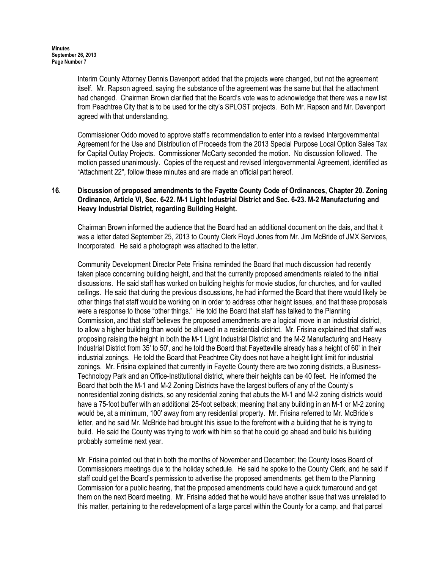Interim County Attorney Dennis Davenport added that the projects were changed, but not the agreement itself. Mr. Rapson agreed, saying the substance of the agreement was the same but that the attachment had changed. Chairman Brown clarified that the Board's vote was to acknowledge that there was a new list from Peachtree City that is to be used for the city's SPLOST projects. Both Mr. Rapson and Mr. Davenport agreed with that understanding.

Commissioner Oddo moved to approve staff's recommendation to enter into a revised Intergovernmental Agreement for the Use and Distribution of Proceeds from the 2013 Special Purpose Local Option Sales Tax for Capital Outlay Projects. Commissioner McCarty seconded the motion. No discussion followed. The motion passed unanimously. Copies of the request and revised Intergovernmental Agreement, identified as "Attachment 22", follow these minutes and are made an official part hereof.

# 16. Discussion of proposed amendments to the Fayette County Code of Ordinances, Chapter 20. Zoning Ordinance, Article VI, Sec. 6-22. M-1 Light Industrial District and Sec. 6-23. M-2 Manufacturing and Heavy Industrial District, regarding Building Height.

Chairman Brown informed the audience that the Board had an additional document on the dais, and that it was a letter dated September 25, 2013 to County Clerk Floyd Jones from Mr. Jim McBride of JMX Services, Incorporated. He said a photograph was attached to the letter.

Community Development Director Pete Frisina reminded the Board that much discussion had recently taken place concerning building height, and that the currently proposed amendments related to the initial discussions. He said staff has worked on building heights for movie studios, for churches, and for vaulted ceilings. He said that during the previous discussions, he had informed the Board that there would likely be other things that staff would be working on in order to address other height issues, and that these proposals were a response to those "other things." He told the Board that staff has talked to the Planning Commission, and that staff believes the proposed amendments are a logical move in an industrial district, to allow a higher building than would be allowed in a residential district. Mr. Frisina explained that staff was proposing raising the height in both the M-1 Light Industrial District and the M-2 Manufacturing and Heavy Industrial District from 35' to 50', and he told the Board that Fayetteville already has a height of 60' in their industrial zonings. He told the Board that Peachtree City does not have a height light limit for industrial zonings. Mr. Frisina explained that currently in Fayette County there are two zoning districts, a Business-Technology Park and an Office-Institutional district, where their heights can be 40 feet. He informed the Board that both the M-1 and M-2 Zoning Districts have the largest buffers of any of the County's nonresidential zoning districts, so any residential zoning that abuts the M-1 and M-2 zoning districts would have a 75-foot buffer with an additional 25-foot setback; meaning that any building in an M-1 or M-2 zoning would be, at a minimum, 100' away from any residential property. Mr. Frisina referred to Mr. McBride's letter, and he said Mr. McBride had brought this issue to the forefront with a building that he is trying to build. He said the County was trying to work with him so that he could go ahead and build his building probably sometime next year.

Mr. Frisina pointed out that in both the months of November and December; the County loses Board of Commissioners meetings due to the holiday schedule. He said he spoke to the County Clerk, and he said if staff could get the Board's permission to advertise the proposed amendments, get them to the Planning Commission for a public hearing, that the proposed amendments could have a quick turnaround and get them on the next Board meeting. Mr. Frisina added that he would have another issue that was unrelated to this matter, pertaining to the redevelopment of a large parcel within the County for a camp, and that parcel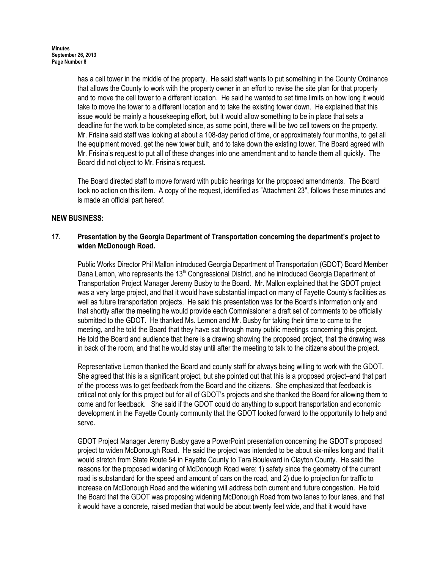has a cell tower in the middle of the property. He said staff wants to put something in the County Ordinance that allows the County to work with the property owner in an effort to revise the site plan for that property and to move the cell tower to a different location. He said he wanted to set time limits on how long it would take to move the tower to a different location and to take the existing tower down. He explained that this issue would be mainly a housekeeping effort, but it would allow something to be in place that sets a deadline for the work to be completed since, as some point, there will be two cell towers on the property. Mr. Frisina said staff was looking at about a 108-day period of time, or approximately four months, to get all the equipment moved, get the new tower built, and to take down the existing tower. The Board agreed with Mr. Frisina's request to put all of these changes into one amendment and to handle them all quickly. The Board did not object to Mr. Frisina's request.

The Board directed staff to move forward with public hearings for the proposed amendments. The Board took no action on this item. A copy of the request, identified as "Attachment 23", follows these minutes and is made an official part hereof.

# NEW BUSINESS:

### 17. Presentation by the Georgia Department of Transportation concerning the department's project to widen McDonough Road.

Public Works Director Phil Mallon introduced Georgia Department of Transportation (GDOT) Board Member Dana Lemon, who represents the 13<sup>th</sup> Congressional District, and he introduced Georgia Department of Transportation Project Manager Jeremy Busby to the Board. Mr. Mallon explained that the GDOT project was a very large project, and that it would have substantial impact on many of Fayette County's facilities as well as future transportation projects. He said this presentation was for the Board's information only and that shortly after the meeting he would provide each Commissioner a draft set of comments to be officially submitted to the GDOT. He thanked Ms. Lemon and Mr. Busby for taking their time to come to the meeting, and he told the Board that they have sat through many public meetings concerning this project. He told the Board and audience that there is a drawing showing the proposed project, that the drawing was in back of the room, and that he would stay until after the meeting to talk to the citizens about the project.

Representative Lemon thanked the Board and county staff for always being willing to work with the GDOT. She agreed that this is a significant project, but she pointed out that this is a proposed project–and that part of the process was to get feedback from the Board and the citizens. She emphasized that feedback is critical not only for this project but for all of GDOT's projects and she thanked the Board for allowing them to come and for feedback. She said if the GDOT could do anything to support transportation and economic development in the Fayette County community that the GDOT looked forward to the opportunity to help and serve.

GDOT Project Manager Jeremy Busby gave a PowerPoint presentation concerning the GDOT's proposed project to widen McDonough Road. He said the project was intended to be about six-miles long and that it would stretch from State Route 54 in Fayette County to Tara Boulevard in Clayton County. He said the reasons for the proposed widening of McDonough Road were: 1) safety since the geometry of the current road is substandard for the speed and amount of cars on the road, and 2) due to projection for traffic to increase on McDonough Road and the widening will address both current and future congestion. He told the Board that the GDOT was proposing widening McDonough Road from two lanes to four lanes, and that it would have a concrete, raised median that would be about twenty feet wide, and that it would have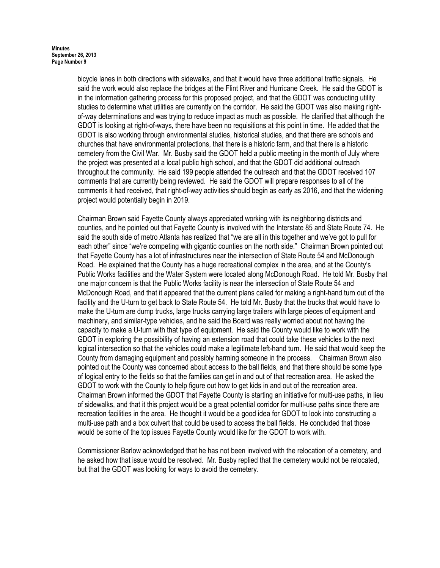bicycle lanes in both directions with sidewalks, and that it would have three additional traffic signals. He said the work would also replace the bridges at the Flint River and Hurricane Creek. He said the GDOT is in the information gathering process for this proposed project, and that the GDOT was conducting utility studies to determine what utilities are currently on the corridor. He said the GDOT was also making rightof-way determinations and was trying to reduce impact as much as possible. He clarified that although the GDOT is looking at right-of-ways, there have been no requisitions at this point in time. He added that the GDOT is also working through environmental studies, historical studies, and that there are schools and churches that have environmental protections, that there is a historic farm, and that there is a historic cemetery from the Civil War. Mr. Busby said the GDOT held a public meeting in the month of July where the project was presented at a local public high school, and that the GDOT did additional outreach throughout the community. He said 199 people attended the outreach and that the GDOT received 107 comments that are currently being reviewed. He said the GDOT will prepare responses to all of the comments it had received, that right-of-way activities should begin as early as 2016, and that the widening project would potentially begin in 2019.

Chairman Brown said Fayette County always appreciated working with its neighboring districts and counties, and he pointed out that Fayette County is involved with the Interstate 85 and State Route 74. He said the south side of metro Atlanta has realized that "we are all in this together and we've got to pull for each other" since "we're competing with gigantic counties on the north side." Chairman Brown pointed out that Fayette County has a lot of infrastructures near the intersection of State Route 54 and McDonough Road. He explained that the County has a huge recreational complex in the area, and at the County's Public Works facilities and the Water System were located along McDonough Road. He told Mr. Busby that one major concern is that the Public Works facility is near the intersection of State Route 54 and McDonough Road, and that it appeared that the current plans called for making a right-hand turn out of the facility and the U-turn to get back to State Route 54. He told Mr. Busby that the trucks that would have to make the U-turn are dump trucks, large trucks carrying large trailers with large pieces of equipment and machinery, and similar-type vehicles, and he said the Board was really worried about not having the capacity to make a U-turn with that type of equipment. He said the County would like to work with the GDOT in exploring the possibility of having an extension road that could take these vehicles to the next logical intersection so that the vehicles could make a legitimate left-hand turn. He said that would keep the County from damaging equipment and possibly harming someone in the process. Chairman Brown also pointed out the County was concerned about access to the ball fields, and that there should be some type of logical entry to the fields so that the families can get in and out of that recreation area. He asked the GDOT to work with the County to help figure out how to get kids in and out of the recreation area. Chairman Brown informed the GDOT that Fayette County is starting an initiative for multi-use paths, in lieu of sidewalks, and that it this project would be a great potential corridor for multi-use paths since there are recreation facilities in the area. He thought it would be a good idea for GDOT to look into constructing a multi-use path and a box culvert that could be used to access the ball fields. He concluded that those would be some of the top issues Fayette County would like for the GDOT to work with.

Commissioner Barlow acknowledged that he has not been involved with the relocation of a cemetery, and he asked how that issue would be resolved. Mr. Busby replied that the cemetery would not be relocated, but that the GDOT was looking for ways to avoid the cemetery.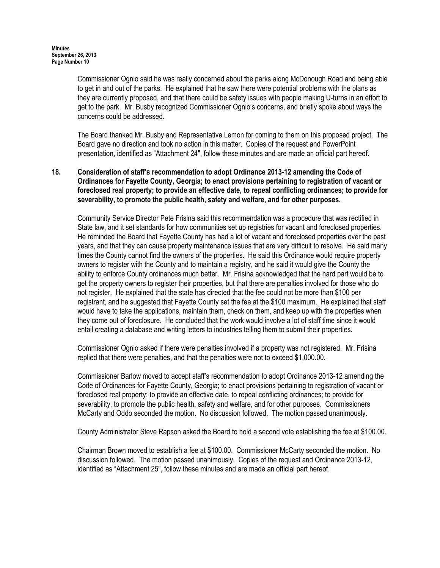Commissioner Ognio said he was really concerned about the parks along McDonough Road and being able to get in and out of the parks. He explained that he saw there were potential problems with the plans as they are currently proposed, and that there could be safety issues with people making U-turns in an effort to get to the park. Mr. Busby recognized Commissioner Ognio's concerns, and briefly spoke about ways the concerns could be addressed.

The Board thanked Mr. Busby and Representative Lemon for coming to them on this proposed project. The Board gave no direction and took no action in this matter. Copies of the request and PowerPoint presentation, identified as "Attachment 24", follow these minutes and are made an official part hereof.

# 18. Consideration of staff's recommendation to adopt Ordinance 2013-12 amending the Code of Ordinances for Fayette County, Georgia; to enact provisions pertaining to registration of vacant or foreclosed real property; to provide an effective date, to repeal conflicting ordinances; to provide for severability, to promote the public health, safety and welfare, and for other purposes.

Community Service Director Pete Frisina said this recommendation was a procedure that was rectified in State law, and it set standards for how communities set up registries for vacant and foreclosed properties. He reminded the Board that Fayette County has had a lot of vacant and foreclosed properties over the past years, and that they can cause property maintenance issues that are very difficult to resolve. He said many times the County cannot find the owners of the properties. He said this Ordinance would require property owners to register with the County and to maintain a registry, and he said it would give the County the ability to enforce County ordinances much better. Mr. Frisina acknowledged that the hard part would be to get the property owners to register their properties, but that there are penalties involved for those who do not register. He explained that the state has directed that the fee could not be more than \$100 per registrant, and he suggested that Fayette County set the fee at the \$100 maximum. He explained that staff would have to take the applications, maintain them, check on them, and keep up with the properties when they come out of foreclosure. He concluded that the work would involve a lot of staff time since it would entail creating a database and writing letters to industries telling them to submit their properties.

Commissioner Ognio asked if there were penalties involved if a property was not registered. Mr. Frisina replied that there were penalties, and that the penalties were not to exceed \$1,000.00.

Commissioner Barlow moved to accept staff's recommendation to adopt Ordinance 2013-12 amending the Code of Ordinances for Fayette County, Georgia; to enact provisions pertaining to registration of vacant or foreclosed real property; to provide an effective date, to repeal conflicting ordinances; to provide for severability, to promote the public health, safety and welfare, and for other purposes. Commissioners McCarty and Oddo seconded the motion. No discussion followed. The motion passed unanimously.

County Administrator Steve Rapson asked the Board to hold a second vote establishing the fee at \$100.00.

Chairman Brown moved to establish a fee at \$100.00. Commissioner McCarty seconded the motion. No discussion followed. The motion passed unanimously. Copies of the request and Ordinance 2013-12, identified as "Attachment 25", follow these minutes and are made an official part hereof.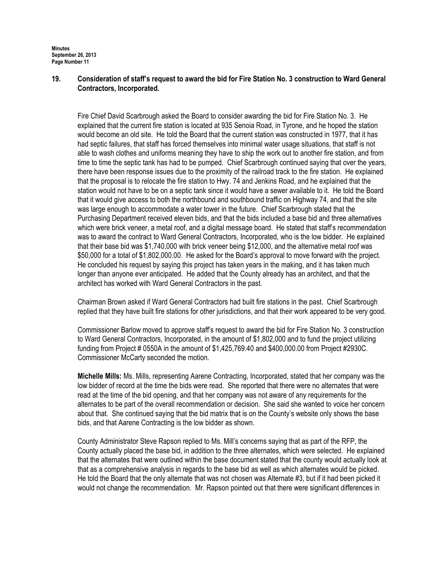Minutes September 26, 2013 Page Number 11

### 19. Consideration of staff's request to award the bid for Fire Station No. 3 construction to Ward General Contractors, Incorporated.

Fire Chief David Scarbrough asked the Board to consider awarding the bid for Fire Station No. 3. He explained that the current fire station is located at 935 Senoia Road, in Tyrone, and he hoped the station would become an old site. He told the Board that the current station was constructed in 1977, that it has had septic failures, that staff has forced themselves into minimal water usage situations, that staff is not able to wash clothes and uniforms meaning they have to ship the work out to another fire station, and from time to time the septic tank has had to be pumped. Chief Scarbrough continued saying that over the years, there have been response issues due to the proximity of the railroad track to the fire station. He explained that the proposal is to relocate the fire station to Hwy. 74 and Jenkins Road, and he explained that the station would not have to be on a septic tank since it would have a sewer available to it. He told the Board that it would give access to both the northbound and southbound traffic on Highway 74, and that the site was large enough to accommodate a water tower in the future. Chief Scarbrough stated that the Purchasing Department received eleven bids, and that the bids included a base bid and three alternatives which were brick veneer, a metal roof, and a digital message board. He stated that staff's recommendation was to award the contract to Ward General Contractors, Incorporated, who is the low bidder. He explained that their base bid was \$1,740,000 with brick veneer being \$12,000, and the alternative metal roof was \$50,000 for a total of \$1,802,000.00. He asked for the Board's approval to move forward with the project. He concluded his request by saying this project has taken years in the making, and it has taken much longer than anyone ever anticipated. He added that the County already has an architect, and that the architect has worked with Ward General Contractors in the past.

Chairman Brown asked if Ward General Contractors had built fire stations in the past. Chief Scarbrough replied that they have built fire stations for other jurisdictions, and that their work appeared to be very good.

Commissioner Barlow moved to approve staff's request to award the bid for Fire Station No. 3 construction to Ward General Contractors, Incorporated, in the amount of \$1,802,000 and to fund the project utilizing funding from Project # 0550A in the amount of \$1,425,769.40 and \$400,000.00 from Project #2930C. Commissioner McCarty seconded the motion.

Michelle Mills: Ms. Mills, representing Aarene Contracting, Incorporated, stated that her company was the low bidder of record at the time the bids were read. She reported that there were no alternates that were read at the time of the bid opening, and that her company was not aware of any requirements for the alternates to be part of the overall recommendation or decision. She said she wanted to voice her concern about that. She continued saying that the bid matrix that is on the County's website only shows the base bids, and that Aarene Contracting is the low bidder as shown.

County Administrator Steve Rapson replied to Ms. Mill's concerns saying that as part of the RFP, the County actually placed the base bid, in addition to the three alternates, which were selected. He explained that the alternates that were outlined within the base document stated that the county would actually look at that as a comprehensive analysis in regards to the base bid as well as which alternates would be picked. He told the Board that the only alternate that was not chosen was Alternate #3, but if it had been picked it would not change the recommendation. Mr. Rapson pointed out that there were significant differences in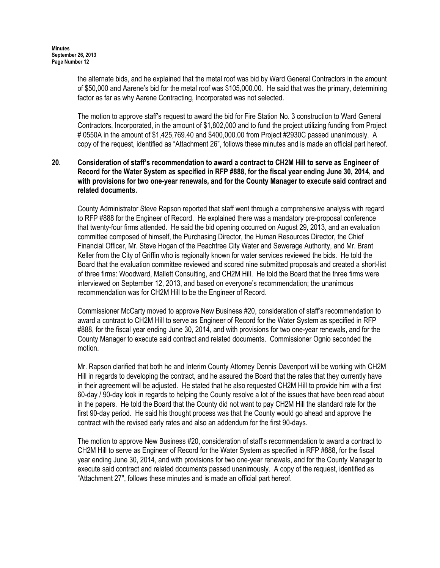the alternate bids, and he explained that the metal roof was bid by Ward General Contractors in the amount of \$50,000 and Aarene's bid for the metal roof was \$105,000.00. He said that was the primary, determining factor as far as why Aarene Contracting, Incorporated was not selected.

The motion to approve staff's request to award the bid for Fire Station No. 3 construction to Ward General Contractors, Incorporated, in the amount of \$1,802,000 and to fund the project utilizing funding from Project # 0550A in the amount of \$1,425,769.40 and \$400,000.00 from Project #2930C passed unanimously. A copy of the request, identified as "Attachment 26", follows these minutes and is made an official part hereof.

# 20. Consideration of staff's recommendation to award a contract to CH2M Hill to serve as Engineer of Record for the Water System as specified in RFP #888, for the fiscal year ending June 30, 2014, and with provisions for two one-year renewals, and for the County Manager to execute said contract and related documents.

County Administrator Steve Rapson reported that staff went through a comprehensive analysis with regard to RFP #888 for the Engineer of Record. He explained there was a mandatory pre-proposal conference that twenty-four firms attended. He said the bid opening occurred on August 29, 2013, and an evaluation committee composed of himself, the Purchasing Director, the Human Resources Director, the Chief Financial Officer, Mr. Steve Hogan of the Peachtree City Water and Sewerage Authority, and Mr. Brant Keller from the City of Griffin who is regionally known for water services reviewed the bids. He told the Board that the evaluation committee reviewed and scored nine submitted proposals and created a short-list of three firms: Woodward, Mallett Consulting, and CH2M Hill. He told the Board that the three firms were interviewed on September 12, 2013, and based on everyone's recommendation; the unanimous recommendation was for CH2M Hill to be the Engineer of Record.

Commissioner McCarty moved to approve New Business #20, consideration of staff's recommendation to award a contract to CH2M Hill to serve as Engineer of Record for the Water System as specified in RFP #888, for the fiscal year ending June 30, 2014, and with provisions for two one-year renewals, and for the County Manager to execute said contract and related documents. Commissioner Ognio seconded the motion.

Mr. Rapson clarified that both he and Interim County Attorney Dennis Davenport will be working with CH2M Hill in regards to developing the contract, and he assured the Board that the rates that they currently have in their agreement will be adjusted. He stated that he also requested CH2M Hill to provide him with a first 60-day / 90-day look in regards to helping the County resolve a lot of the issues that have been read about in the papers. He told the Board that the County did not want to pay CH2M Hill the standard rate for the first 90-day period. He said his thought process was that the County would go ahead and approve the contract with the revised early rates and also an addendum for the first 90-days.

The motion to approve New Business #20, consideration of staff's recommendation to award a contract to CH2M Hill to serve as Engineer of Record for the Water System as specified in RFP #888, for the fiscal year ending June 30, 2014, and with provisions for two one-year renewals, and for the County Manager to execute said contract and related documents passed unanimously. A copy of the request, identified as "Attachment 27", follows these minutes and is made an official part hereof.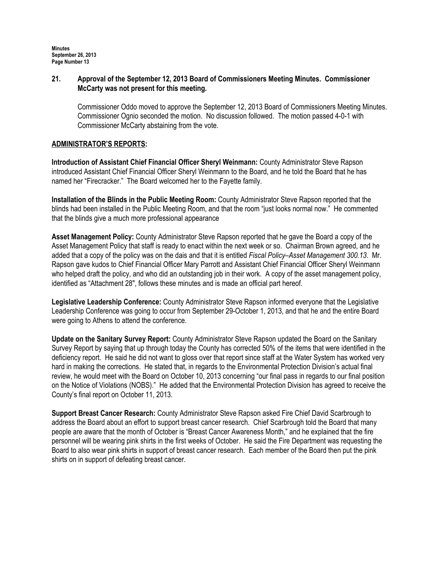# 21. Approval of the September 12, 2013 Board of Commissioners Meeting Minutes. Commissioner McCarty was not present for this meeting.

Commissioner Oddo moved to approve the September 12, 2013 Board of Commissioners Meeting Minutes. Commissioner Ognio seconded the motion. No discussion followed. The motion passed 4-0-1 with Commissioner McCarty abstaining from the vote.

# ADMINISTRATOR'S REPORTS:

Introduction of Assistant Chief Financial Officer Sheryl Weinmann: County Administrator Steve Rapson introduced Assistant Chief Financial Officer Sheryl Weinmann to the Board, and he told the Board that he has named her "Firecracker." The Board welcomed her to the Fayette family.

Installation of the Blinds in the Public Meeting Room: County Administrator Steve Rapson reported that the blinds had been installed in the Public Meeting Room, and that the room "just looks normal now." He commented that the blinds give a much more professional appearance

Asset Management Policy: County Administrator Steve Rapson reported that he gave the Board a copy of the Asset Management Policy that staff is ready to enact within the next week or so. Chairman Brown agreed, and he added that a copy of the policy was on the dais and that it is entitled Fiscal Policy–Asset Management 300.13. Mr. Rapson gave kudos to Chief Financial Officer Mary Parrott and Assistant Chief Financial Officer Sheryl Weinmann who helped draft the policy, and who did an outstanding job in their work. A copy of the asset management policy, identified as "Attachment 28", follows these minutes and is made an official part hereof.

Legislative Leadership Conference: County Administrator Steve Rapson informed everyone that the Legislative Leadership Conference was going to occur from September 29-October 1, 2013, and that he and the entire Board were going to Athens to attend the conference.

Update on the Sanitary Survey Report: County Administrator Steve Rapson updated the Board on the Sanitary Survey Report by saying that up through today the County has corrected 50% of the items that were identified in the deficiency report. He said he did not want to gloss over that report since staff at the Water System has worked very hard in making the corrections. He stated that, in regards to the Environmental Protection Division's actual final review, he would meet with the Board on October 10, 2013 concerning "our final pass in regards to our final position on the Notice of Violations (NOBS)." He added that the Environmental Protection Division has agreed to receive the County's final report on October 11, 2013.

Support Breast Cancer Research: County Administrator Steve Rapson asked Fire Chief David Scarbrough to address the Board about an effort to support breast cancer research. Chief Scarbrough told the Board that many people are aware that the month of October is "Breast Cancer Awareness Month," and he explained that the fire personnel will be wearing pink shirts in the first weeks of October. He said the Fire Department was requesting the Board to also wear pink shirts in support of breast cancer research. Each member of the Board then put the pink shirts on in support of defeating breast cancer.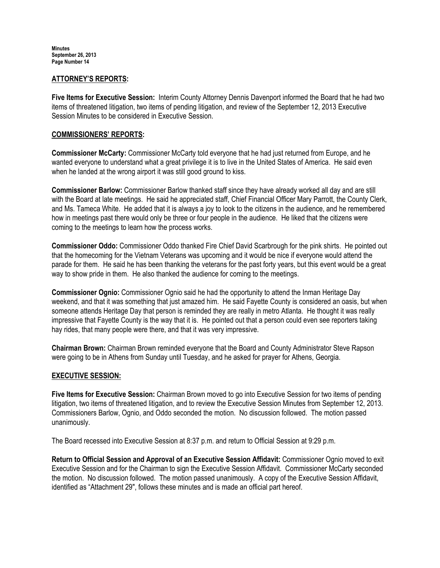Minutes September 26, 2013 Page Number 14

#### ATTORNEY'S REPORTS:

Five Items for Executive Session: Interim County Attorney Dennis Davenport informed the Board that he had two items of threatened litigation, two items of pending litigation, and review of the September 12, 2013 Executive Session Minutes to be considered in Executive Session.

#### COMMISSIONERS' REPORTS:

Commissioner McCarty: Commissioner McCarty told everyone that he had just returned from Europe, and he wanted everyone to understand what a great privilege it is to live in the United States of America. He said even when he landed at the wrong airport it was still good ground to kiss.

Commissioner Barlow: Commissioner Barlow thanked staff since they have already worked all day and are still with the Board at late meetings. He said he appreciated staff, Chief Financial Officer Mary Parrott, the County Clerk, and Ms. Tameca White. He added that it is always a joy to look to the citizens in the audience, and he remembered how in meetings past there would only be three or four people in the audience. He liked that the citizens were coming to the meetings to learn how the process works.

Commissioner Oddo: Commissioner Oddo thanked Fire Chief David Scarbrough for the pink shirts. He pointed out that the homecoming for the Vietnam Veterans was upcoming and it would be nice if everyone would attend the parade for them. He said he has been thanking the veterans for the past forty years, but this event would be a great way to show pride in them. He also thanked the audience for coming to the meetings.

Commissioner Ognio: Commissioner Ognio said he had the opportunity to attend the Inman Heritage Day weekend, and that it was something that just amazed him. He said Fayette County is considered an oasis, but when someone attends Heritage Day that person is reminded they are really in metro Atlanta. He thought it was really impressive that Fayette County is the way that it is. He pointed out that a person could even see reporters taking hay rides, that many people were there, and that it was very impressive.

Chairman Brown: Chairman Brown reminded everyone that the Board and County Administrator Steve Rapson were going to be in Athens from Sunday until Tuesday, and he asked for prayer for Athens, Georgia.

### EXECUTIVE SESSION:

Five Items for Executive Session: Chairman Brown moved to go into Executive Session for two items of pending litigation, two items of threatened litigation, and to review the Executive Session Minutes from September 12, 2013. Commissioners Barlow, Ognio, and Oddo seconded the motion. No discussion followed. The motion passed unanimously.

The Board recessed into Executive Session at 8:37 p.m. and return to Official Session at 9:29 p.m.

Return to Official Session and Approval of an Executive Session Affidavit: Commissioner Ognio moved to exit Executive Session and for the Chairman to sign the Executive Session Affidavit. Commissioner McCarty seconded the motion. No discussion followed. The motion passed unanimously. A copy of the Executive Session Affidavit, identified as "Attachment 29", follows these minutes and is made an official part hereof.